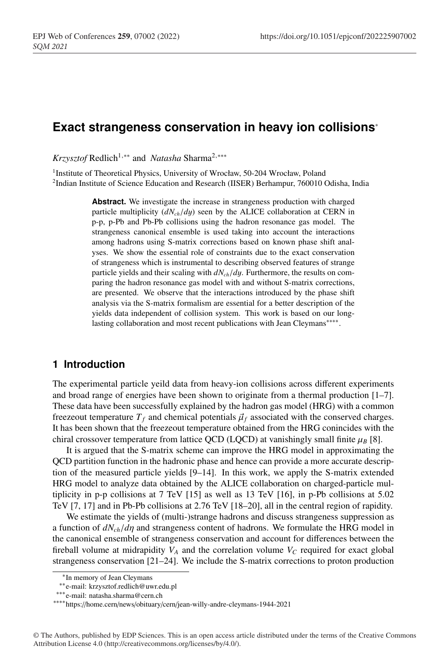# **Exact strangeness conservation in heavy ion collisions**<sup>∗</sup>

*Krzysztof* Redlich<sup>1,∗∗</sup> and *Natasha* Sharma<sup>2,</sup> \*\*\*

<sup>1</sup> Institute of Theoretical Physics, University of Wrocław, 50-204 Wrocław, Poland 2Indian Institute of Science Education and Research (IISER) Berhampur, 760010 Odisha, India

> **Abstract.** We investigate the increase in strangeness production with charged particle multiplicity (*dNch*/*d*y) seen by the ALICE collaboration at CERN in p-p, p-Pb and Pb-Pb collisions using the hadron resonance gas model. The strangeness canonical ensemble is used taking into account the interactions among hadrons using S-matrix corrections based on known phase shift analyses. We show the essential role of constraints due to the exact conservation of strangeness which is instrumental to describing observed features of strange particle yields and their scaling with *dNch*/*d*y. Furthermore, the results on comparing the hadron resonance gas model with and without S-matrix corrections, are presented. We observe that the interactions introduced by the phase shift analysis via the S-matrix formalism are essential for a better description of the yields data independent of collision system. This work is based on our longlasting collaboration and most recent publications with Jean Cleymans∗∗∗∗.

### **1 Introduction**

The experimental particle yeild data from heavy-ion collisions across different experiments and broad range of energies have been shown to originate from a thermal production [1–7]. These data have been successfully explained by the hadron gas model (HRG) with a common freezeout temperature  $T_f$  and chemical potentials  $\vec{\mu}_f$  associated with the conserved charges. It has been shown that the freezeout temperature obtained from the HRG conincides with the chiral crossover temperature from lattice QCD (LQCD) at vanishingly small finite  $\mu_B$  [8].

It is argued that the S-matrix scheme can improve the HRG model in approximating the QCD partition function in the hadronic phase and hence can provide a more accurate description of the measured particle yields [9–14]. In this work, we apply the S-matrix extended HRG model to analyze data obtained by the ALICE collaboration on charged-particle multiplicity in p-p collisions at 7 TeV [15] as well as 13 TeV [16], in p-Pb collisions at 5.02 TeV [7, 17] and in Pb-Pb collisions at 2.76 TeV [18–20], all in the central region of rapidity.

We estimate the yields of (multi-)strange hadrons and discuss strangeness suppression as a function of *dNch*/*d*η and strangeness content of hadrons. We formulate the HRG model in the canonical ensemble of strangeness conservation and account for differences between the fireball volume at midrapidity  $V_A$  and the correlation volume  $V_C$  required for exact global strangeness conservation [21–24]. We include the S-matrix corrections to proton production

<sup>∗</sup>In memory of Jean Cleymans

<sup>∗∗</sup>e-mail: krzysztof.redlich@uwr.edu.pl

<sup>∗∗∗</sup>e-mail: natasha.sharma@cern.ch

<sup>∗∗∗∗</sup>https://home.cern/news/obituary/cern/jean-willy-andre-cleymans-1944-2021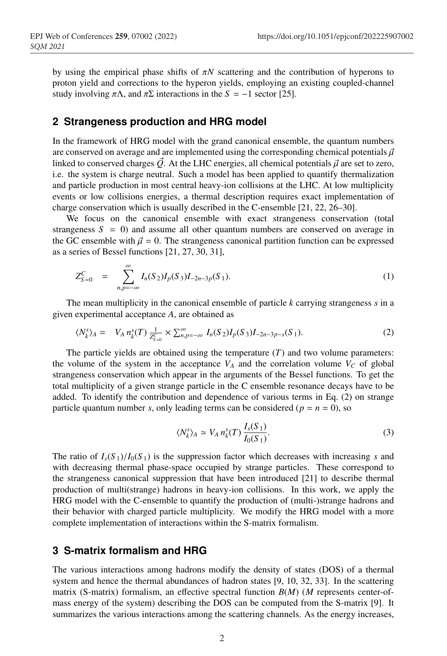by using the empirical phase shifts of π*N* scattering and the contribution of hyperons to proton yield and corrections to the hyperon yields, employing an existing coupled-channel study involving  $\pi \Lambda$ , and  $\pi \Sigma$  interactions in the  $S = -1$  sector [25].

#### **2 Strangeness production and HRG model**

In the framework of HRG model with the grand canonical ensemble, the quantum numbers are conserved on average and are implemented using the corresponding chemical potentials  $\vec{\mu}$ linked to conserved charges  $\vec{Q}$ . At the LHC energies, all chemical potentials  $\vec{\mu}$  are set to zero, i.e. the system is charge neutral. Such a model has been applied to quantify thermalization and particle production in most central heavy-ion collisions at the LHC. At low multiplicity events or low collisions energies, a thermal description requires exact implementation of charge conservation which is usually described in the C-ensemble [21, 22, 26–30].

We focus on the canonical ensemble with exact strangeness conservation (total strangeness  $S = 0$ ) and assume all other quantum numbers are conserved on average in the GC ensemble with  $\vec{\mu} = 0$ . The strangeness canonical partition function can be expressed as a series of Bessel functions [21, 27, 30, 31],

$$
Z_{S=0}^C = \sum_{n,p=-\infty}^{\infty} I_n(S_2) I_p(S_3) I_{-2n-3p}(S_1).
$$
 (1)

The mean multiplicity in the canonical ensemble of particle *k* carrying strangeness *s* in a given experimental acceptance *A*, are obtained as

$$
\langle N_k^s \rangle_A = V_A n_k^s(T) \frac{1}{Z_{S=0}^c} \times \sum_{n,p=-\infty}^{\infty} I_n(S_2) I_p(S_3) I_{-2n-3p-s}(S_1).
$$
 (2)

The particle yields are obtained using the temperature (*T*) and two volume parameters: the volume of the system in the acceptance  $V_A$  and the correlation volume  $V_C$  of global strangeness conservation which appear in the arguments of the Bessel functions. To get the total multiplicity of a given strange particle in the C ensemble resonance decays have to be added. To identify the contribution and dependence of various terms in Eq. (2) on strange particle quantum number *s*, only leading terms can be considered ( $p = n = 0$ ), so

$$
\langle N_k^s \rangle_A \simeq V_A n_k^s(T) \frac{I_s(S_1)}{I_0(S_1)}.
$$
 (3)

The ratio of  $I_s(S_1)/I_0(S_1)$  is the suppression factor which decreases with increasing *s* and with decreasing thermal phase-space occupied by strange particles. These correspond to the strangeness canonical suppression that have been introduced [21] to describe thermal production of multi(strange) hadrons in heavy-ion collisions. In this work, we apply the HRG model with the C-ensemble to quantify the production of (multi-)strange hadrons and their behavior with charged particle multiplicity. We modify the HRG model with a more complete implementation of interactions within the S-matrix formalism.

## **3 S-matrix formalism and HRG**

The various interactions among hadrons modify the density of states (DOS) of a thermal system and hence the thermal abundances of hadron states [9, 10, 32, 33]. In the scattering matrix (S-matrix) formalism, an effective spectral function *B*(*M*) (*M* represents center-ofmass energy of the system) describing the DOS can be computed from the S-matrix [9]. It summarizes the various interactions among the scattering channels. As the energy increases,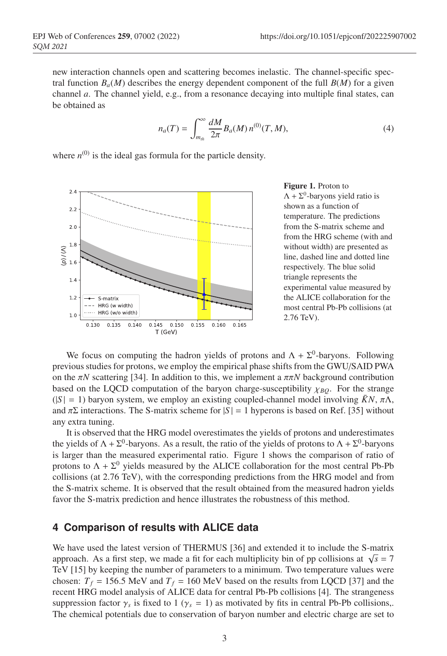new interaction channels open and scattering becomes inelastic. The channel-specific spectral function  $B_a(M)$  describes the energy dependent component of the full  $B(M)$  for a given channel *a*. The channel yield, e.g., from a resonance decaying into multiple final states, can be obtained as

$$
n_a(T) = \int_{m_{th}}^{\infty} \frac{dM}{2\pi} B_a(M) n^{(0)}(T, M), \tag{4}
$$

where  $n^{(0)}$  is the ideal gas formula for the particle density.



Figure 1. Proton to  $\Lambda + \Sigma^0$ -baryons yield ratio is shown as a function of temperature. The predictions from the S-matrix scheme and from the HRG scheme (with and without width) are presented as line, dashed line and dotted line respectively. The blue solid triangle represents the experimental value measured by the ALICE collaboration for the most central Pb-Pb collisions (at 2.76 TeV).

We focus on computing the hadron yields of protons and  $\Lambda + \Sigma^0$ -baryons. Following previous studies for protons, we employ the empirical phase shifts from the GWU/SAID PWA on the  $\pi N$  scattering [34]. In addition to this, we implement a  $\pi \pi N$  background contribution based on the LQCD computation of the baryon charge-susceptibility  $\chi_{BO}$ . For the strange  $(|S| = 1)$  baryon system, we employ an existing coupled-channel model involving  $\bar{K}N$ ,  $\pi\Lambda$ , and  $\pi\Sigma$  interactions. The S-matrix scheme for  $|S| = 1$  hyperons is based on Ref. [35] without any extra tuning.

It is observed that the HRG model overestimates the yields of protons and underestimates the yields of  $\Lambda + \Sigma^0$ -baryons. As a result, the ratio of the yields of protons to  $\Lambda + \Sigma^0$ -baryons is larger than the measured experimental ratio. Figure 1 shows the comparison of ratio of protons to  $\Lambda + \Sigma^0$  yields measured by the ALICE collaboration for the most central Pb-Pb collisions (at 2.76 TeV), with the corresponding predictions from the HRG model and from the S-matrix scheme. It is observed that the result obtained from the measured hadron yields favor the S-matrix prediction and hence illustrates the robustness of this method.

### **4 Comparison of results with ALICE data**

We have used the latest version of THERMUS [36] and extended it to include the S-matrix approach. As a first step, we made a fit for each multiplicity bin of pp collisions at  $\sqrt{s} = 7$ TeV [15] by keeping the number of parameters to a minimum. Two temperature values were chosen:  $T_f = 156.5$  MeV and  $T_f = 160$  MeV based on the results from LQCD [37] and the recent HRG model analysis of ALICE data for central Pb-Pb collisions [4]. The strangeness suppression factor  $\gamma_s$  is fixed to 1 ( $\gamma_s = 1$ ) as motivated by fits in central Pb-Pb collisions,. The chemical potentials due to conservation of baryon number and electric charge are set to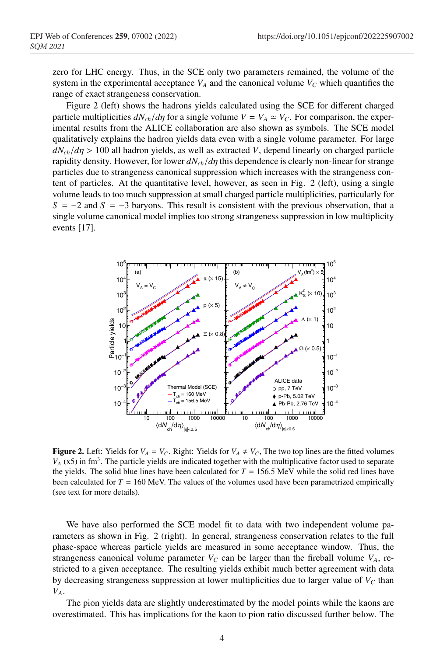zero for LHC energy. Thus, in the SCE only two parameters remained, the volume of the system in the experimental acceptance  $V_A$  and the canonical volume  $V_C$  which quantifies the range of exact strangeness conservation.

Figure 2 (left) shows the hadrons yields calculated using the SCE for different charged particle multiplicities  $dN_{ch}/d\eta$  for a single volume  $V = V_A \simeq V_C$ . For comparison, the experimental results from the ALICE collaboration are also shown as symbols. The SCE model qualitatively explains the hadron yields data even with a single volume parameter. For large  $dN_{ch}/d\eta > 100$  all hadron yields, as well as extracted *V*, depend linearly on charged particle rapidity density. However, for lower *dNch*/*d*η this dependence is clearly non-linear for strange particles due to strangeness canonical suppression which increases with the strangeness content of particles. At the quantitative level, however, as seen in Fig. 2 (left), using a single volume leads to too much suppression at small charged particle multiplicities, particularly for  $S = -2$  and  $S = -3$  baryons. This result is consistent with the previous observation, that a single volume canonical model implies too strong strangeness suppression in low multiplicity events [17].



**Figure 2.** Left: Yields for  $V_A = V_C$ . Right: Yields for  $V_A \neq V_C$ , The two top lines are the fitted volumes  $V_A$  (x5) in fm<sup>3</sup>. The particle yields are indicated together with the multiplicative factor used to separate the yields. The solid blue lines have been calculated for  $T = 156.5$  MeV while the solid red lines have been calculated for  $T = 160$  MeV. The values of the volumes used have been parametrized empirically (see text for more details).

We have also performed the SCE model fit to data with two independent volume parameters as shown in Fig. 2 (right). In general, strangeness conservation relates to the full phase-space whereas particle yields are measured in some acceptance window. Thus, the strangeness canonical volume parameter  $V_C$  can be larger than the fireball volume  $V_A$ , restricted to a given acceptance. The resulting yields exhibit much better agreement with data by decreasing strangeness suppression at lower multiplicities due to larger value of  $V_c$  than *VA*.

The pion yields data are slightly underestimated by the model points while the kaons are overestimated. This has implications for the kaon to pion ratio discussed further below. The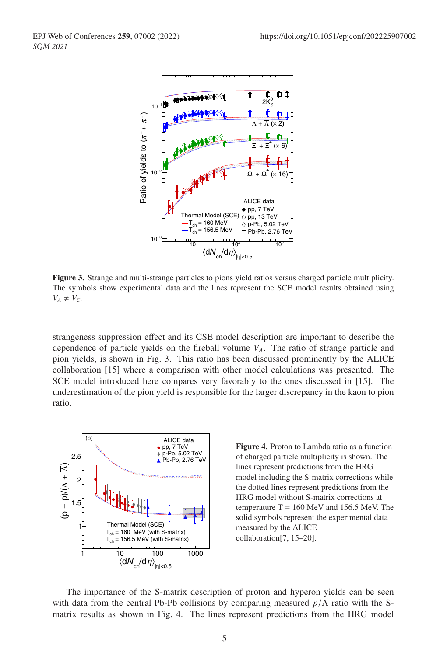

Figure 3. Strange and multi-strange particles to pions yield ratios versus charged particle multiplicity. The symbols show experimental data and the lines represent the SCE model results obtained using  $V_A \neq V_C$ .

strangeness suppression effect and its CSE model description are important to describe the dependence of particle yields on the fireball volume *VA*. The ratio of strange particle and pion yields, is shown in Fig. 3. This ratio has been discussed prominently by the ALICE collaboration [15] where a comparison with other model calculations was presented. The SCE model introduced here compares very favorably to the ones discussed in [15]. The underestimation of the pion yield is responsible for the larger discrepancy in the kaon to pion ratio.



Figure 4. Proton to Lambda ratio as a function of charged particle multiplicity is shown. The lines represent predictions from the HRG model including the S-matrix corrections while the dotted lines represent predictions from the HRG model without S-matrix corrections at temperature  $T = 160$  MeV and 156.5 MeV. The solid symbols represent the experimental data measured by the ALICE collaboration[7, 15–20].

The importance of the S-matrix description of proton and hyperon yields can be seen with data from the central Pb-Pb collisions by comparing measured *p*/Λ ratio with the Smatrix results as shown in Fig. 4. The lines represent predictions from the HRG model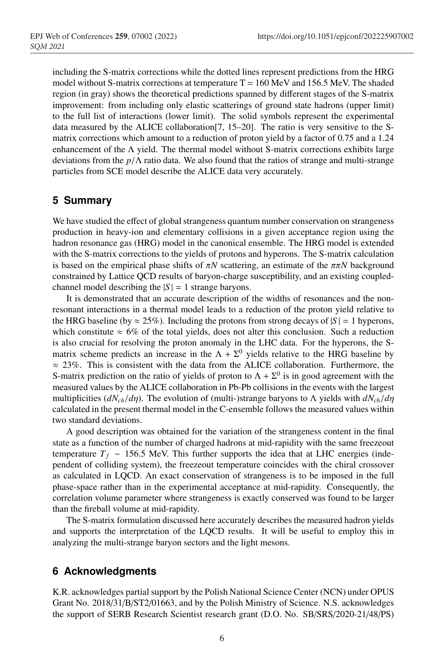including the S-matrix corrections while the dotted lines represent predictions from the HRG model without S-matrix corrections at temperature  $T = 160$  MeV and 156.5 MeV. The shaded region (in gray) shows the theoretical predictions spanned by different stages of the S-matrix improvement: from including only elastic scatterings of ground state hadrons (upper limit) to the full list of interactions (lower limit). The solid symbols represent the experimental data measured by the ALICE collaboration[7, 15–20]. The ratio is very sensitive to the Smatrix corrections which amount to a reduction of proton yield by a factor of 0.75 and a 1.24 enhancement of the  $\Lambda$  yield. The thermal model without S-matrix corrections exhibits large deviations from the *p*/Λ ratio data. We also found that the ratios of strange and multi-strange particles from SCE model describe the ALICE data very accurately.

### **5 Summary**

We have studied the effect of global strangeness quantum number conservation on strangeness production in heavy-ion and elementary collisions in a given acceptance region using the hadron resonance gas (HRG) model in the canonical ensemble. The HRG model is extended with the S-matrix corrections to the yields of protons and hyperons. The S-matrix calculation is based on the empirical phase shifts of  $\pi N$  scattering, an estimate of the  $\pi \pi N$  background constrained by Lattice QCD results of baryon-charge susceptibility, and an existing coupledchannel model describing the  $|S| = 1$  strange baryons.

It is demonstrated that an accurate description of the widths of resonances and the nonresonant interactions in a thermal model leads to a reduction of the proton yield relative to the HRG baseline (by  $\approx 25\%$ ). Including the protons from strong decays of  $|S| = 1$  hyperons, which constitute  $\approx 6\%$  of the total yields, does not alter this conclusion. Such a reduction is also crucial for resolving the proton anomaly in the LHC data. For the hyperons, the Smatrix scheme predicts an increase in the  $\Lambda + \Sigma^0$  yields relative to the HRG baseline by  $\approx$  23%. This is consistent with the data from the ALICE collaboration. Furthermore, the S-matrix prediction on the ratio of yields of proton to  $\Lambda + \Sigma^0$  is in good agreement with the measured values by the ALICE collaboration in Pb-Pb collisions in the events with the largest multiplicities (*dNch*/*d*η). The evolution of (multi-)strange baryons to Λ yields with *dNch*/*d*η calculated in the present thermal model in the C-ensemble follows the measured values within two standard deviations.

A good description was obtained for the variation of the strangeness content in the final state as a function of the number of charged hadrons at mid-rapidity with the same freezeout temperature  $T_f \sim 156.5$  MeV. This further supports the idea that at LHC energies (independent of colliding system), the freezeout temperature coincides with the chiral crossover as calculated in LQCD. An exact conservation of strangeness is to be imposed in the full phase-space rather than in the experimental acceptance at mid-rapidity. Consequently, the correlation volume parameter where strangeness is exactly conserved was found to be larger than the fireball volume at mid-rapidity.

The S-matrix formulation discussed here accurately describes the measured hadron yields and supports the interpretation of the LQCD results. It will be useful to employ this in analyzing the multi-strange baryon sectors and the light mesons.

### **6 Acknowledgments**

K.R. acknowledges partial support by the Polish National Science Center (NCN) under OPUS Grant No. 2018/31/B/ST2/01663, and by the Polish Ministry of Science. N.S. acknowledges the support of SERB Research Scientist research grant (D.O. No. SB/SRS/2020-21/48/PS)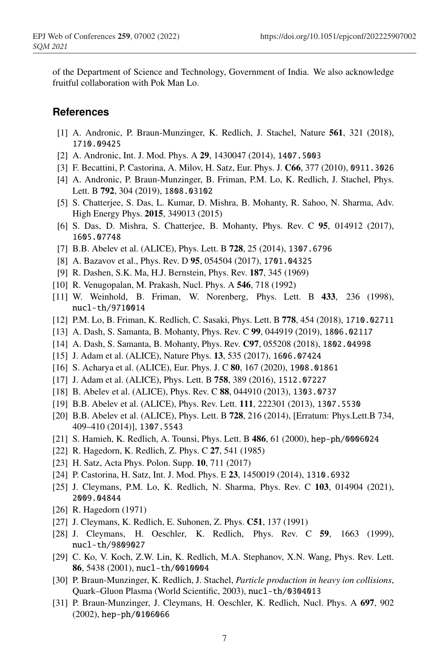of the Department of Science and Technology, Government of India. We also acknowledge fruitful collaboration with Pok Man Lo.

#### **References**

- [1] A. Andronic, P. Braun-Munzinger, K. Redlich, J. Stachel, Nature 561, 321 (2018), 1710.09425
- [2] A. Andronic, Int. J. Mod. Phys. A 29, 1430047 (2014), 1407.5003
- [3] F. Becattini, P. Castorina, A. Milov, H. Satz, Eur. Phys. J. C66, 377 (2010), 0911.3026
- [4] A. Andronic, P. Braun-Munzinger, B. Friman, P.M. Lo, K. Redlich, J. Stachel, Phys. Lett. B 792, 304 (2019), 1808.03102
- [5] S. Chatterjee, S. Das, L. Kumar, D. Mishra, B. Mohanty, R. Sahoo, N. Sharma, Adv. High Energy Phys. 2015, 349013 (2015)
- [6] S. Das, D. Mishra, S. Chatterjee, B. Mohanty, Phys. Rev. C 95, 014912 (2017), 1605.07748
- [7] B.B. Abelev et al. (ALICE), Phys. Lett. B 728, 25 (2014), 1307.6796
- [8] A. Bazavov et al., Phys. Rev. D 95, 054504 (2017), 1701.04325
- [9] R. Dashen, S.K. Ma, H.J. Bernstein, Phys. Rev. 187, 345 (1969)
- [10] R. Venugopalan, M. Prakash, Nucl. Phys. A **546**, 718 (1992)
- [11] W. Weinhold, B. Friman, W. Norenberg, Phys. Lett. B 433, 236 (1998), nucl-th/9710014
- [12] P.M. Lo, B. Friman, K. Redlich, C. Sasaki, Phys. Lett. B 778, 454 (2018), 1710.02711
- [13] A. Dash, S. Samanta, B. Mohanty, Phys. Rev. C 99, 044919 (2019), 1806.02117
- [14] A. Dash, S. Samanta, B. Mohanty, Phys. Rev. C97, 055208 (2018), 1802.04998
- [15] J. Adam et al. (ALICE), Nature Phys. 13, 535 (2017), 1606.07424
- [16] S. Acharya et al. (ALICE), Eur. Phys. J. C 80, 167 (2020), 1908.01861
- [17] J. Adam et al. (ALICE), Phys. Lett. B 758, 389 (2016), 1512.07227
- [18] B. Abelev et al. (ALICE), Phys. Rev. C 88, 044910 (2013), 1303.0737
- [19] B.B. Abelev et al. (ALICE), Phys. Rev. Lett. 111, 222301 (2013), 1307.5530
- [20] B.B. Abelev et al. (ALICE), Phys. Lett. B 728, 216 (2014), [Erratum: Phys.Lett.B 734, 409–410 (2014)], 1307.5543
- [21] S. Hamieh, K. Redlich, A. Tounsi, Phys. Lett. B 486, 61 (2000), hep-ph/0006024
- [22] R. Hagedorn, K. Redlich, Z. Phys. C 27, 541 (1985)
- [23] H. Satz, Acta Phys. Polon. Supp. **10**, 711 (2017)
- [24] P. Castorina, H. Satz, Int. J. Mod. Phys. E 23, 1450019 (2014), 1310.6932
- [25] J. Cleymans, P.M. Lo, K. Redlich, N. Sharma, Phys. Rev. C 103, 014904 (2021), 2009.04844
- [26] R. Hagedorn (1971)
- [27] J. Cleymans, K. Redlich, E. Suhonen, Z. Phys. C51, 137 (1991)
- [28] J. Cleymans, H. Oeschler, K. Redlich, Phys. Rev. C 59, 1663 (1999), nucl-th/9809027
- [29] C. Ko, V. Koch, Z.W. Lin, K. Redlich, M.A. Stephanov, X.N. Wang, Phys. Rev. Lett. 86, 5438 (2001), nucl-th/0010004
- [30] P. Braun-Munzinger, K. Redlich, J. Stachel, *Particle production in heavy ion collisions*, Quark–Gluon Plasma (World Scientific, 2003), nucl-th/0304013
- [31] P. Braun-Munzinger, J. Cleymans, H. Oeschler, K. Redlich, Nucl. Phys. A 697, 902 (2002), hep-ph/0106066